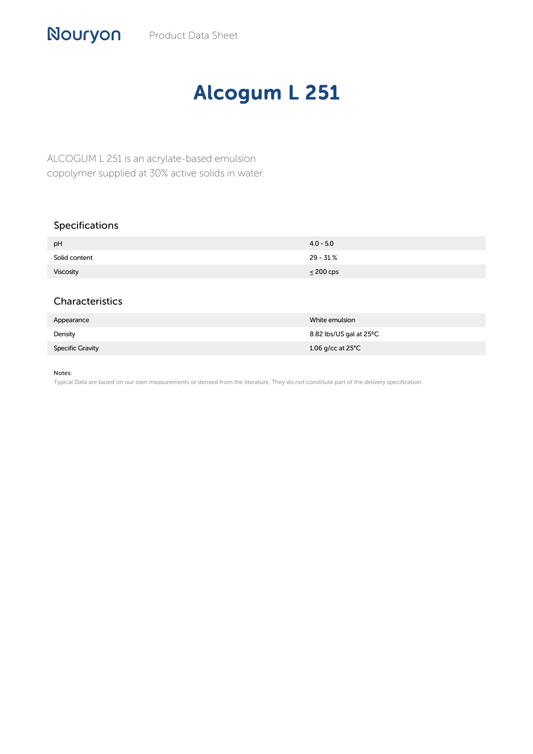## Alcogum L 251

ALCOGUM L 251 is an acrylate-based emulsion copolymer supplied at 30% active solids in water.

## Specifications

| pH            | $4.0 - 5.0$    |
|---------------|----------------|
| Solid content | 29 - 31 %      |
| Viscosity     | $\leq$ 200 cps |

## Characteristics

| Appearance              | White emulsion              |
|-------------------------|-----------------------------|
| Density                 | 8.82 lbs/US gal at 25°C     |
| <b>Specific Gravity</b> | 1.06 g/cc at 25 $\degree$ C |

Notes:

Typical Data are based on our own measurements or derived from the literature. They do not constitute part of the delivery specification.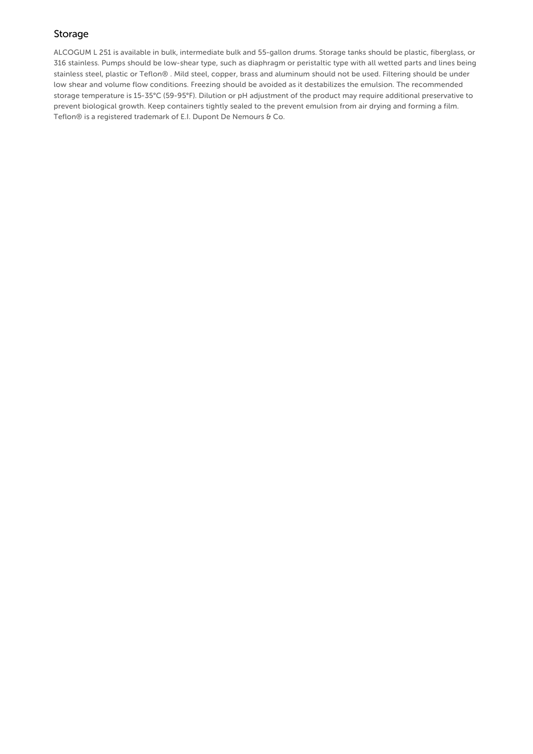## Storage

ALCOGUM L 251 is available in bulk, intermediate bulk and 55-gallon drums. Storage tanks should be plastic, fiberglass, or 316 stainless. Pumps should be low-shear type, such as diaphragm or peristaltic type with all wetted parts and lines being stainless steel, plastic or Teflon® . Mild steel, copper, brass and aluminum should not be used. Filtering should be under low shear and volume flow conditions. Freezing should be avoided as it destabilizes the emulsion. The recommended storage temperature is 15-35°C (59-95°F). Dilution or pH adjustment of the product may require additional preservative to prevent biological growth. Keep containers tightly sealed to the prevent emulsion from air drying and forming a film. Teflon® is a registered trademark of E.I. Dupont De Nemours & Co.